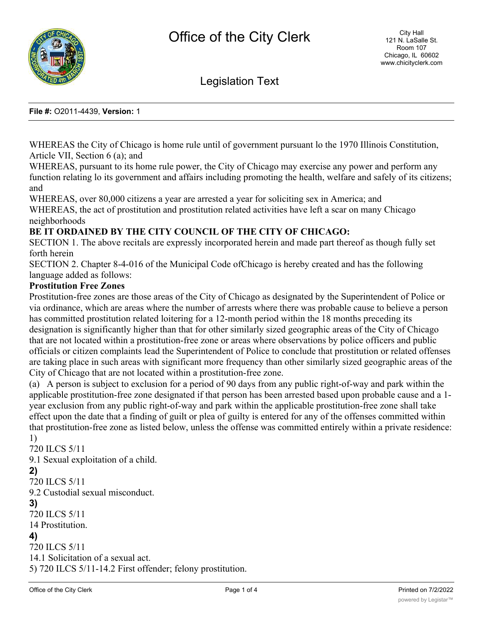

Legislation Text

#### **File #:** O2011-4439, **Version:** 1

WHEREAS the City of Chicago is home rule until of government pursuant lo the 1970 Illinois Constitution, Article VII, Section 6 (a); and

WHEREAS, pursuant to its home rule power, the City of Chicago may exercise any power and perform any function relating lo its government and affairs including promoting the health, welfare and safely of its citizens; and

WHEREAS, over 80,000 citizens a year are arrested a year for soliciting sex in America; and WHEREAS, the act of prostitution and prostitution related activities have left a scar on many Chicago neighborhoods

# **BE IT ORDAINED BY THE CITY COUNCIL OF THE CITY OF CHICAGO:**

SECTION 1. The above recitals are expressly incorporated herein and made part thereof as though fully set forth herein

SECTION 2. Chapter 8-4-016 of the Municipal Code ofChicago is hereby created and has the following language added as follows:

# **Prostitution Free Zones**

Prostitution-free zones are those areas of the City of Chicago as designated by the Superintendent of Police or via ordinance, which are areas where the number of arrests where there was probable cause to believe a person has committed prostitution related loitering for a 12-month period within the 18 months preceding its designation is significantly higher than that for other similarly sized geographic areas of the City of Chicago that are not located within a prostitution-free zone or areas where observations by police officers and public officials or citizen complaints lead the Superintendent of Police to conclude that prostitution or related offenses are taking place in such areas with significant more frequency than other similarly sized geographic areas of the City of Chicago that are not located within a prostitution-free zone.

(a) A person is subject to exclusion for a period of 90 days from any public right-of-way and park within the applicable prostitution-free zone designated if that person has been arrested based upon probable cause and a 1 year exclusion from any public right-of-way and park within the applicable prostitution-free zone shall take effect upon the date that a finding of guilt or plea of guilty is entered for any of the offenses committed within that prostitution-free zone as listed below, unless the offense was committed entirely within a private residence: 1)

720 ILCS 5/11 9.1 Sexual exploitation of a child. **2)** 720 ILCS 5/11 9.2 Custodial sexual misconduct. **3)** 720 ILCS 5/11 14 Prostitution. **4)** 720 ILCS 5/11 14.1 Solicitation of a sexual act. 5) 720 ILCS 5/11-14.2 First offender; felony prostitution.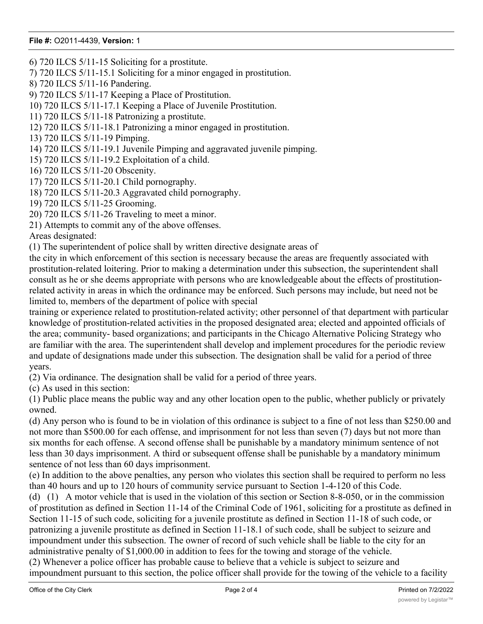# **File #:** O2011-4439, **Version:** 1

6) 720 ILCS 5/11-15 Soliciting for a prostitute.

7) 720 ILCS 5/11-15.1 Soliciting for a minor engaged in prostitution.

8) 720 ILCS 5/11-16 Pandering.

9) 720 ILCS 5/11-17 Keeping a Place of Prostitution.

10) 720 ILCS 5/11-17.1 Keeping a Place of Juvenile Prostitution.

11) 720 ILCS 5/11-18 Patronizing a prostitute.

12) 720 ILCS 5/11-18.1 Patronizing a minor engaged in prostitution.

13) 720 ILCS 5/11-19 Pimping.

14) 720 ILCS 5/11-19.1 Juvenile Pimping and aggravated juvenile pimping.

15) 720 ILCS 5/11-19.2 Exploitation of a child.

16) 720 ILCS 5/11-20 Obscenity.

17) 720 ILCS 5/11-20.1 Child pornography.

18) 720 ILCS 5/11-20.3 Aggravated child pornography.

19) 720 ILCS 5/11-25 Grooming.

20) 720 ILCS 5/11-26 Traveling to meet a minor.

21) Attempts to commit any of the above offenses.

Areas designated:

(1) The superintendent of police shall by written directive designate areas of

the city in which enforcement of this section is necessary because the areas are frequently associated with prostitution-related loitering. Prior to making a determination under this subsection, the superintendent shall consult as he or she deems appropriate with persons who are knowledgeable about the effects of prostitutionrelated activity in areas in which the ordinance may be enforced. Such persons may include, but need not be limited to, members of the department of police with special

training or experience related to prostitution-related activity; other personnel of that department with particular knowledge of prostitution-related activities in the proposed designated area; elected and appointed officials of the area; community- based organizations; and participants in the Chicago Alternative Policing Strategy who are familiar with the area. The superintendent shall develop and implement procedures for the periodic review and update of designations made under this subsection. The designation shall be valid for a period of three years.

(2) Via ordinance. The designation shall be valid for a period of three years.

(c) As used in this section:

(1) Public place means the public way and any other location open to the public, whether publicly or privately owned.

(d) Any person who is found to be in violation of this ordinance is subject to a fine of not less than \$250.00 and not more than \$500.00 for each offense, and imprisonment for not less than seven (7) days but not more than six months for each offense. A second offense shall be punishable by a mandatory minimum sentence of not less than 30 days imprisonment. A third or subsequent offense shall be punishable by a mandatory minimum sentence of not less than 60 days imprisonment.

(e) In addition to the above penalties, any person who violates this section shall be required to perform no less than 40 hours and up to 120 hours of community service pursuant to Section 1-4-120 of this Code.

(d) (1) A motor vehicle that is used in the violation of this section or Section 8-8-050, or in the commission of prostitution as defined in Section 11-14 of the Criminal Code of 1961, soliciting for a prostitute as defined in Section 11-15 of such code, soliciting for a juvenile prostitute as defined in Section 11-18 of such code, or patronizing a juvenile prostitute as defined in Section 11-18.1 of such code, shall be subject to seizure and impoundment under this subsection. The owner of record of such vehicle shall be liable to the city for an administrative penalty of \$1,000.00 in addition to fees for the towing and storage of the vehicle.

(2) Whenever a police officer has probable cause to believe that a vehicle is subject to seizure and impoundment pursuant to this section, the police officer shall provide for the towing of the vehicle to a facility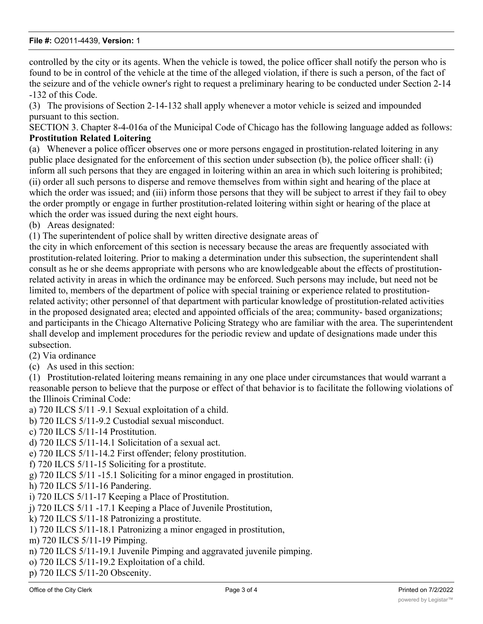controlled by the city or its agents. When the vehicle is towed, the police officer shall notify the person who is found to be in control of the vehicle at the time of the alleged violation, if there is such a person, of the fact of the seizure and of the vehicle owner's right to request a preliminary hearing to be conducted under Section 2-14 -132 of this Code.

(3) The provisions of Section 2-14-132 shall apply whenever a motor vehicle is seized and impounded pursuant to this section.

SECTION 3. Chapter 8-4-016a of the Municipal Code of Chicago has the following language added as follows: **Prostitution Related Loitering**

(a) Whenever a police officer observes one or more persons engaged in prostitution-related loitering in any public place designated for the enforcement of this section under subsection (b), the police officer shall: (i) inform all such persons that they are engaged in loitering within an area in which such loitering is prohibited; (ii) order all such persons to disperse and remove themselves from within sight and hearing of the place at which the order was issued; and (iii) inform those persons that they will be subject to arrest if they fail to obey the order promptly or engage in further prostitution-related loitering within sight or hearing of the place at which the order was issued during the next eight hours.

(b) Areas designated:

(1) The superintendent of police shall by written directive designate areas of

the city in which enforcement of this section is necessary because the areas are frequently associated with prostitution-related loitering. Prior to making a determination under this subsection, the superintendent shall consult as he or she deems appropriate with persons who are knowledgeable about the effects of prostitutionrelated activity in areas in which the ordinance may be enforced. Such persons may include, but need not be limited to, members of the department of police with special training or experience related to prostitutionrelated activity; other personnel of that department with particular knowledge of prostitution-related activities in the proposed designated area; elected and appointed officials of the area; community- based organizations; and participants in the Chicago Alternative Policing Strategy who are familiar with the area. The superintendent shall develop and implement procedures for the periodic review and update of designations made under this subsection.

(2) Via ordinance

(c) As used in this section:

(1) Prostitution-related loitering means remaining in any one place under circumstances that would warrant a reasonable person to believe that the purpose or effect of that behavior is to facilitate the following violations of the Illinois Criminal Code:

a) 720 ILCS 5/11 -9.1 Sexual exploitation of a child.

b) 720 ILCS 5/11-9.2 Custodial sexual misconduct.

c) 720 ILCS 5/11-14 Prostitution.

d) 720 ILCS 5/11-14.1 Solicitation of a sexual act.

e) 720 ILCS 5/11-14.2 First offender; felony prostitution.

f) 720 ILCS 5/11-15 Soliciting for a prostitute.

g) 720 ILCS 5/11 -15.1 Soliciting for a minor engaged in prostitution.

h) 720 ILCS 5/11-16 Pandering.

i) 720 ILCS 5/11-17 Keeping a Place of Prostitution.

j) 720 ILCS 5/11 -17.1 Keeping a Place of Juvenile Prostitution,

k) 720 ILCS 5/11-18 Patronizing a prostitute.

1) 720 ILCS 5/11-18.1 Patronizing a minor engaged in prostitution,

m) 720 ILCS 5/11-19 Pimping.

n) 720 ILCS 5/11-19.1 Juvenile Pimping and aggravated juvenile pimping.

o) 720 ILCS 5/11-19.2 Exploitation of a child.

p) 720 ILCS 5/11-20 Obscenity.